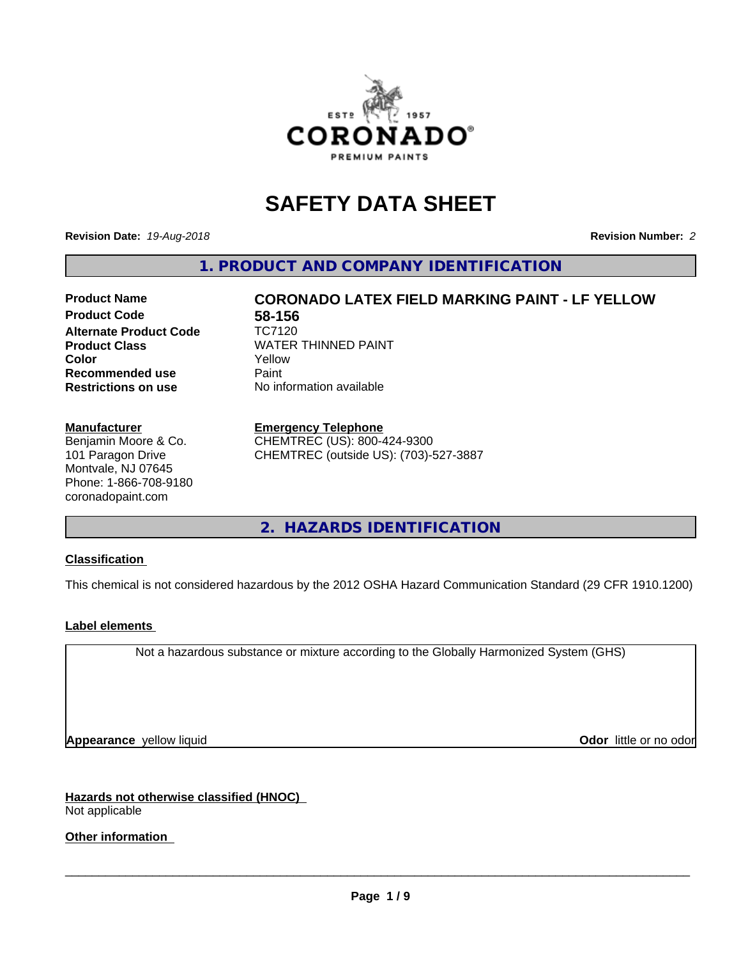

# **SAFETY DATA SHEET**

**Revision Date:** *19-Aug-2018* **Revision Number:** *2*

**1. PRODUCT AND COMPANY IDENTIFICATION**

# **Product Code 58-156**<br>Alternate Product Code **167120 Alternate Product Code Product Class** WATER THINNED PAINT<br> **Color** Yellow **Recommended use** Paint **Restrictions on use** No information available

**Product Name CORONADO LATEX FIELD MARKING PAINT - LF YELLOW Color** Yellow

#### **Manufacturer**

Benjamin Moore & Co. 101 Paragon Drive Montvale, NJ 07645 Phone: 1-866-708-9180 coronadopaint.com

#### **Emergency Telephone**

CHEMTREC (US): 800-424-9300 CHEMTREC (outside US): (703)-527-3887

**2. HAZARDS IDENTIFICATION**

### **Classification**

This chemical is not considered hazardous by the 2012 OSHA Hazard Communication Standard (29 CFR 1910.1200)

### **Label elements**

Not a hazardous substance or mixture according to the Globally Harmonized System (GHS)

**Appearance** yellow liquid **Contract Contract Contract Contract Contract Contract Contract Contract Contract Contract Contract Contract Contract Contract Contract Contract Contract Contract Contract Contract Contract Contr** 

**Hazards not otherwise classified (HNOC)** Not applicable

### **Other information**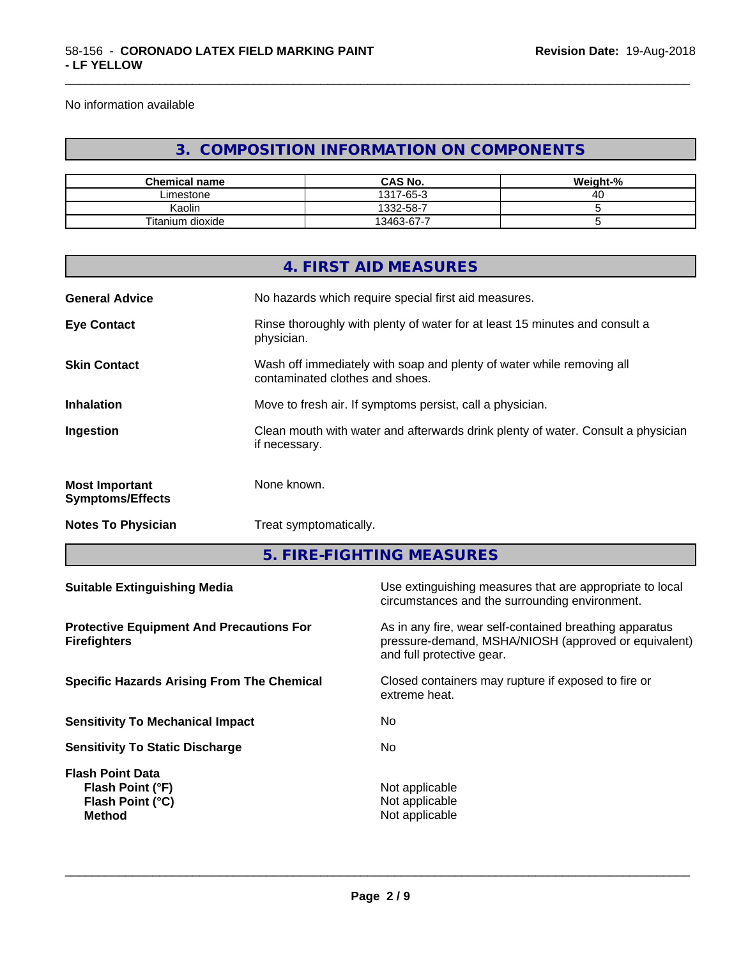No information available

# **3. COMPOSITION INFORMATION ON COMPONENTS**

\_\_\_\_\_\_\_\_\_\_\_\_\_\_\_\_\_\_\_\_\_\_\_\_\_\_\_\_\_\_\_\_\_\_\_\_\_\_\_\_\_\_\_\_\_\_\_\_\_\_\_\_\_\_\_\_\_\_\_\_\_\_\_\_\_\_\_\_\_\_\_\_\_\_\_\_\_\_\_\_\_\_\_\_\_\_\_\_\_\_\_\_\_

| <b>Chemical name</b> | <b>CAS No.</b>      | Weight-%     |
|----------------------|---------------------|--------------|
| Limestone            | $(-65 - ?)$<br>1317 | / I I<br>- 0 |
| Kaolin               | 1332-58-7           |              |
| Titanium dioxide     | 13463-67-7<br>-     |              |

|                                                                        |                        | 4. FIRST AID MEASURES                                                                                                                        |  |  |
|------------------------------------------------------------------------|------------------------|----------------------------------------------------------------------------------------------------------------------------------------------|--|--|
|                                                                        |                        |                                                                                                                                              |  |  |
| <b>General Advice</b>                                                  |                        | No hazards which require special first aid measures.                                                                                         |  |  |
| <b>Eye Contact</b>                                                     | physician.             | Rinse thoroughly with plenty of water for at least 15 minutes and consult a                                                                  |  |  |
| <b>Skin Contact</b>                                                    |                        | Wash off immediately with soap and plenty of water while removing all<br>contaminated clothes and shoes.                                     |  |  |
| <b>Inhalation</b>                                                      |                        | Move to fresh air. If symptoms persist, call a physician.                                                                                    |  |  |
| Ingestion                                                              | if necessary.          | Clean mouth with water and afterwards drink plenty of water. Consult a physician                                                             |  |  |
| <b>Most Important</b><br><b>Symptoms/Effects</b>                       | None known.            |                                                                                                                                              |  |  |
| <b>Notes To Physician</b>                                              | Treat symptomatically. |                                                                                                                                              |  |  |
|                                                                        |                        | 5. FIRE-FIGHTING MEASURES                                                                                                                    |  |  |
| <b>Suitable Extinguishing Media</b>                                    |                        | Use extinguishing measures that are appropriate to local<br>circumstances and the surrounding environment.                                   |  |  |
| <b>Protective Equipment And Precautions For</b><br><b>Firefighters</b> |                        | As in any fire, wear self-contained breathing apparatus<br>pressure-demand, MSHA/NIOSH (approved or equivalent)<br>and full protective gear. |  |  |
| <b>Specific Hazards Arising From The Chemical</b>                      |                        | Closed containers may rupture if exposed to fire or<br>extreme heat.                                                                         |  |  |

**Sensitivity To Mechanical Impact** No **Sensitivity To Static Discharge** No

**Flash Point Data Flash Point (°F)**<br> **Flash Point (°C)**<br> **Flash Point (°C)**<br> **CO Flash Point (°C) Method** Not applicable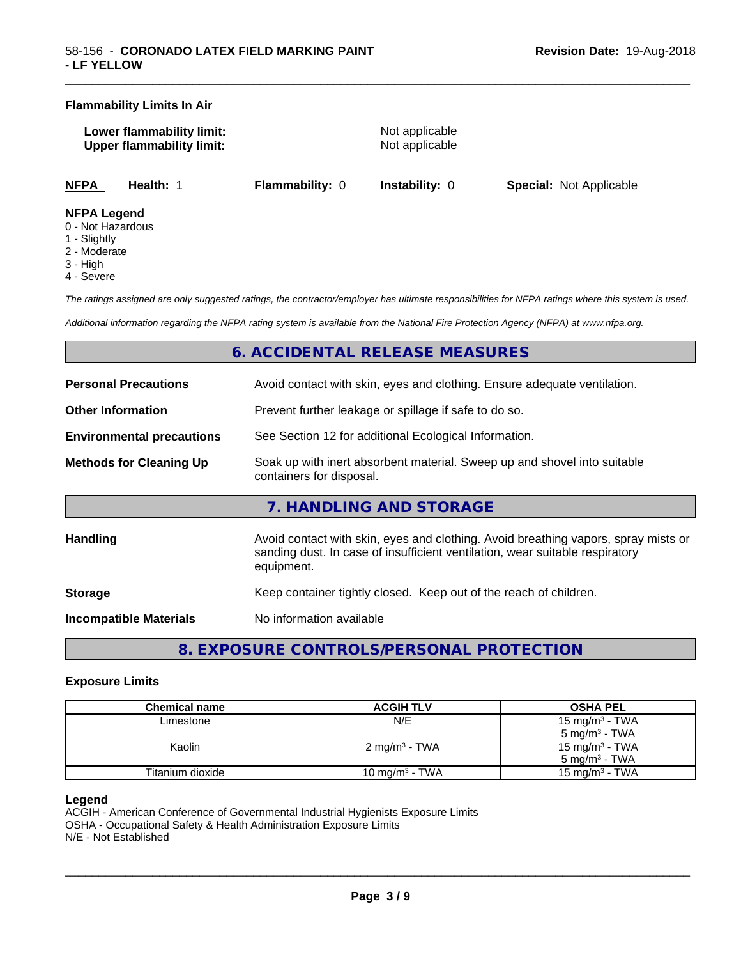#### **Flammability Limits In Air**

| Lower flammability limit:        |  |
|----------------------------------|--|
| <b>Upper flammability limit:</b> |  |

**Not applicable Not applicable** 

\_\_\_\_\_\_\_\_\_\_\_\_\_\_\_\_\_\_\_\_\_\_\_\_\_\_\_\_\_\_\_\_\_\_\_\_\_\_\_\_\_\_\_\_\_\_\_\_\_\_\_\_\_\_\_\_\_\_\_\_\_\_\_\_\_\_\_\_\_\_\_\_\_\_\_\_\_\_\_\_\_\_\_\_\_\_\_\_\_\_\_\_\_

**NFPA Health:** 1 **Flammability:** 0 **Instability:** 0 **Special:** Not Applicable

#### **NFPA Legend**

- 0 Not Hazardous
- 1 Slightly
- 2 Moderate
- 3 High
- 4 Severe

*The ratings assigned are only suggested ratings, the contractor/employer has ultimate responsibilities for NFPA ratings where this system is used.*

*Additional information regarding the NFPA rating system is available from the National Fire Protection Agency (NFPA) at www.nfpa.org.*

# **6. ACCIDENTAL RELEASE MEASURES**

| <b>Personal Precautions</b>      | Avoid contact with skin, eyes and clothing. Ensure adequate ventilation.                                                                                                         |
|----------------------------------|----------------------------------------------------------------------------------------------------------------------------------------------------------------------------------|
| <b>Other Information</b>         | Prevent further leakage or spillage if safe to do so.                                                                                                                            |
| <b>Environmental precautions</b> | See Section 12 for additional Ecological Information.                                                                                                                            |
| <b>Methods for Cleaning Up</b>   | Soak up with inert absorbent material. Sweep up and shovel into suitable<br>containers for disposal.                                                                             |
|                                  | 7. HANDLING AND STORAGE                                                                                                                                                          |
| <b>Handling</b>                  | Avoid contact with skin, eyes and clothing. Avoid breathing vapors, spray mists or<br>sanding dust. In case of insufficient ventilation, wear suitable respiratory<br>equipment. |
| <b>Storage</b>                   | Keep container tightly closed. Keep out of the reach of children.                                                                                                                |
|                                  |                                                                                                                                                                                  |

**Incompatible Materials** No information available

**8. EXPOSURE CONTROLS/PERSONAL PROTECTION**

#### **Exposure Limits**

| Chemical name    | <b>ACGIH TLV</b>         | <b>OSHA PEL</b>            |
|------------------|--------------------------|----------------------------|
| Limestone        | N/E                      | 15 mg/m <sup>3</sup> - TWA |
|                  |                          | $5 \text{ mg/m}^3$ - TWA   |
| Kaolin           | $2 \text{ mg/m}^3$ - TWA | 15 mg/m <sup>3</sup> - TWA |
|                  |                          | $5 \text{ mg/m}^3$ - TWA   |
| Titanium dioxide | 10 mg/m $3$ - TWA        | 15 mg/m $3$ - TWA          |

#### **Legend**

ACGIH - American Conference of Governmental Industrial Hygienists Exposure Limits OSHA - Occupational Safety & Health Administration Exposure Limits N/E - Not Established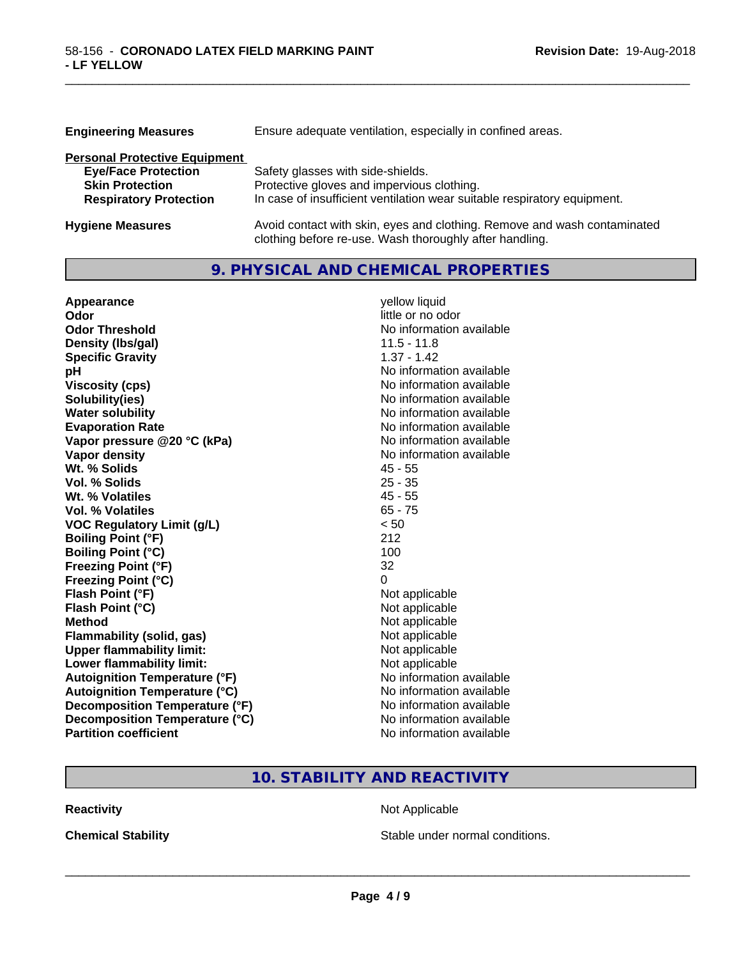| <b>Engineering Measures</b>          | Ensure adequate ventilation, especially in confined areas.               |  |  |
|--------------------------------------|--------------------------------------------------------------------------|--|--|
| <b>Personal Protective Equipment</b> |                                                                          |  |  |
| <b>Eye/Face Protection</b>           | Safety glasses with side-shields.                                        |  |  |
| <b>Skin Protection</b>               | Protective gloves and impervious clothing.                               |  |  |
| <b>Respiratory Protection</b>        | In case of insufficient ventilation wear suitable respiratory equipment. |  |  |
| <b>Hygiene Measures</b>              | Avoid contact with skin, eyes and clothing. Remove and wash contaminated |  |  |

clothing before re-use. Wash thoroughly after handling.

\_\_\_\_\_\_\_\_\_\_\_\_\_\_\_\_\_\_\_\_\_\_\_\_\_\_\_\_\_\_\_\_\_\_\_\_\_\_\_\_\_\_\_\_\_\_\_\_\_\_\_\_\_\_\_\_\_\_\_\_\_\_\_\_\_\_\_\_\_\_\_\_\_\_\_\_\_\_\_\_\_\_\_\_\_\_\_\_\_\_\_\_\_

# **9. PHYSICAL AND CHEMICAL PROPERTIES**

| Appearance                           | yellow liquid            |
|--------------------------------------|--------------------------|
| Odor                                 | little or no odor        |
| <b>Odor Threshold</b>                | No information available |
| Density (Ibs/gal)                    | $11.5 - 11.8$            |
| <b>Specific Gravity</b>              | $1.37 - 1.42$            |
| pH                                   | No information available |
| <b>Viscosity (cps)</b>               | No information available |
| Solubility(ies)                      | No information available |
| <b>Water solubility</b>              | No information available |
| <b>Evaporation Rate</b>              | No information available |
| Vapor pressure @20 °C (kPa)          | No information available |
| Vapor density                        | No information available |
| Wt. % Solids                         | $45 - 55$                |
| Vol. % Solids                        | $25 - 35$                |
| Wt. % Volatiles                      | $45 - 55$                |
| Vol. % Volatiles                     | $65 - 75$                |
| <b>VOC Regulatory Limit (g/L)</b>    | < 50                     |
| <b>Boiling Point (°F)</b>            | 212                      |
| <b>Boiling Point (°C)</b>            | 100                      |
| <b>Freezing Point (°F)</b>           | 32                       |
| <b>Freezing Point (°C)</b>           | 0                        |
| Flash Point (°F)                     | Not applicable           |
| Flash Point (°C)                     | Not applicable           |
| <b>Method</b>                        | Not applicable           |
| Flammability (solid, gas)            | Not applicable           |
| <b>Upper flammability limit:</b>     | Not applicable           |
| Lower flammability limit:            | Not applicable           |
| <b>Autoignition Temperature (°F)</b> | No information available |
| <b>Autoignition Temperature (°C)</b> | No information available |
| Decomposition Temperature (°F)       | No information available |
| Decomposition Temperature (°C)       | No information available |
| <b>Partition coefficient</b>         | No information available |

# **10. STABILITY AND REACTIVITY**

**Reactivity Not Applicable** Not Applicable

**Chemical Stability Chemical Stability** Stable under normal conditions.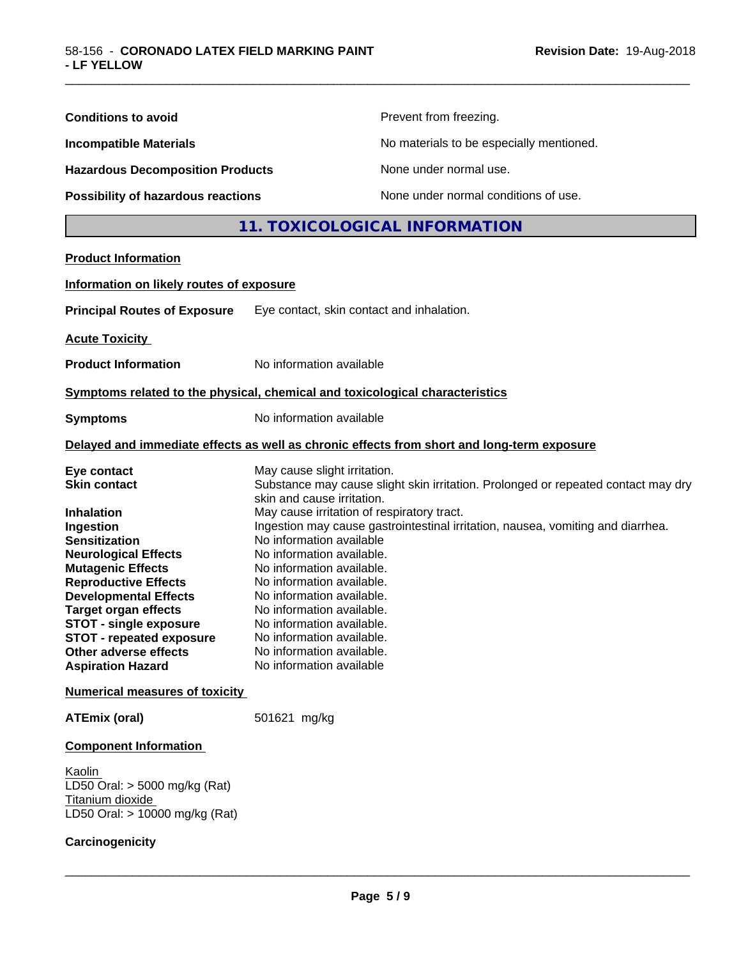| Prevent from freezing.<br><b>Conditions to avoid</b><br><b>Incompatible Materials</b><br>No materials to be especially mentioned.<br><b>Hazardous Decomposition Products</b><br>None under normal use.<br>None under normal conditions of use.<br>Possibility of hazardous reactions<br>11. TOXICOLOGICAL INFORMATION<br><b>Product Information</b><br>Information on likely routes of exposure<br><b>Principal Routes of Exposure</b><br>Eye contact, skin contact and inhalation.<br><b>Acute Toxicity</b><br><b>Product Information</b><br>No information available<br>Symptoms related to the physical, chemical and toxicological characteristics<br>No information available                                                                                                                                                                                                                                                                                                                          |  |  |
|-------------------------------------------------------------------------------------------------------------------------------------------------------------------------------------------------------------------------------------------------------------------------------------------------------------------------------------------------------------------------------------------------------------------------------------------------------------------------------------------------------------------------------------------------------------------------------------------------------------------------------------------------------------------------------------------------------------------------------------------------------------------------------------------------------------------------------------------------------------------------------------------------------------------------------------------------------------------------------------------------------------|--|--|
|                                                                                                                                                                                                                                                                                                                                                                                                                                                                                                                                                                                                                                                                                                                                                                                                                                                                                                                                                                                                             |  |  |
|                                                                                                                                                                                                                                                                                                                                                                                                                                                                                                                                                                                                                                                                                                                                                                                                                                                                                                                                                                                                             |  |  |
|                                                                                                                                                                                                                                                                                                                                                                                                                                                                                                                                                                                                                                                                                                                                                                                                                                                                                                                                                                                                             |  |  |
|                                                                                                                                                                                                                                                                                                                                                                                                                                                                                                                                                                                                                                                                                                                                                                                                                                                                                                                                                                                                             |  |  |
|                                                                                                                                                                                                                                                                                                                                                                                                                                                                                                                                                                                                                                                                                                                                                                                                                                                                                                                                                                                                             |  |  |
|                                                                                                                                                                                                                                                                                                                                                                                                                                                                                                                                                                                                                                                                                                                                                                                                                                                                                                                                                                                                             |  |  |
|                                                                                                                                                                                                                                                                                                                                                                                                                                                                                                                                                                                                                                                                                                                                                                                                                                                                                                                                                                                                             |  |  |
|                                                                                                                                                                                                                                                                                                                                                                                                                                                                                                                                                                                                                                                                                                                                                                                                                                                                                                                                                                                                             |  |  |
|                                                                                                                                                                                                                                                                                                                                                                                                                                                                                                                                                                                                                                                                                                                                                                                                                                                                                                                                                                                                             |  |  |
|                                                                                                                                                                                                                                                                                                                                                                                                                                                                                                                                                                                                                                                                                                                                                                                                                                                                                                                                                                                                             |  |  |
|                                                                                                                                                                                                                                                                                                                                                                                                                                                                                                                                                                                                                                                                                                                                                                                                                                                                                                                                                                                                             |  |  |
| <b>Symptoms</b>                                                                                                                                                                                                                                                                                                                                                                                                                                                                                                                                                                                                                                                                                                                                                                                                                                                                                                                                                                                             |  |  |
| Delayed and immediate effects as well as chronic effects from short and long-term exposure                                                                                                                                                                                                                                                                                                                                                                                                                                                                                                                                                                                                                                                                                                                                                                                                                                                                                                                  |  |  |
| Eye contact<br>May cause slight irritation.<br>Substance may cause slight skin irritation. Prolonged or repeated contact may dry<br><b>Skin contact</b><br>skin and cause irritation.<br>May cause irritation of respiratory tract.<br><b>Inhalation</b><br>Ingestion may cause gastrointestinal irritation, nausea, vomiting and diarrhea.<br>Ingestion<br>No information available<br><b>Sensitization</b><br>No information available.<br><b>Neurological Effects</b><br><b>Mutagenic Effects</b><br>No information available.<br><b>Reproductive Effects</b><br>No information available.<br><b>Developmental Effects</b><br>No information available.<br><b>Target organ effects</b><br>No information available.<br><b>STOT - single exposure</b><br>No information available.<br><b>STOT - repeated exposure</b><br>No information available.<br>Other adverse effects<br>No information available.<br><b>Aspiration Hazard</b><br>No information available<br><b>Numerical measures of toxicity</b> |  |  |
| 501621 mg/kg<br><b>ATEmix (oral)</b>                                                                                                                                                                                                                                                                                                                                                                                                                                                                                                                                                                                                                                                                                                                                                                                                                                                                                                                                                                        |  |  |
| <b>Component Information</b>                                                                                                                                                                                                                                                                                                                                                                                                                                                                                                                                                                                                                                                                                                                                                                                                                                                                                                                                                                                |  |  |
| Kaolin<br>LD50 Oral: > 5000 mg/kg (Rat)<br>Titanium dioxide<br>LD50 Oral: > 10000 mg/kg (Rat)                                                                                                                                                                                                                                                                                                                                                                                                                                                                                                                                                                                                                                                                                                                                                                                                                                                                                                               |  |  |
| Carcinogenicity                                                                                                                                                                                                                                                                                                                                                                                                                                                                                                                                                                                                                                                                                                                                                                                                                                                                                                                                                                                             |  |  |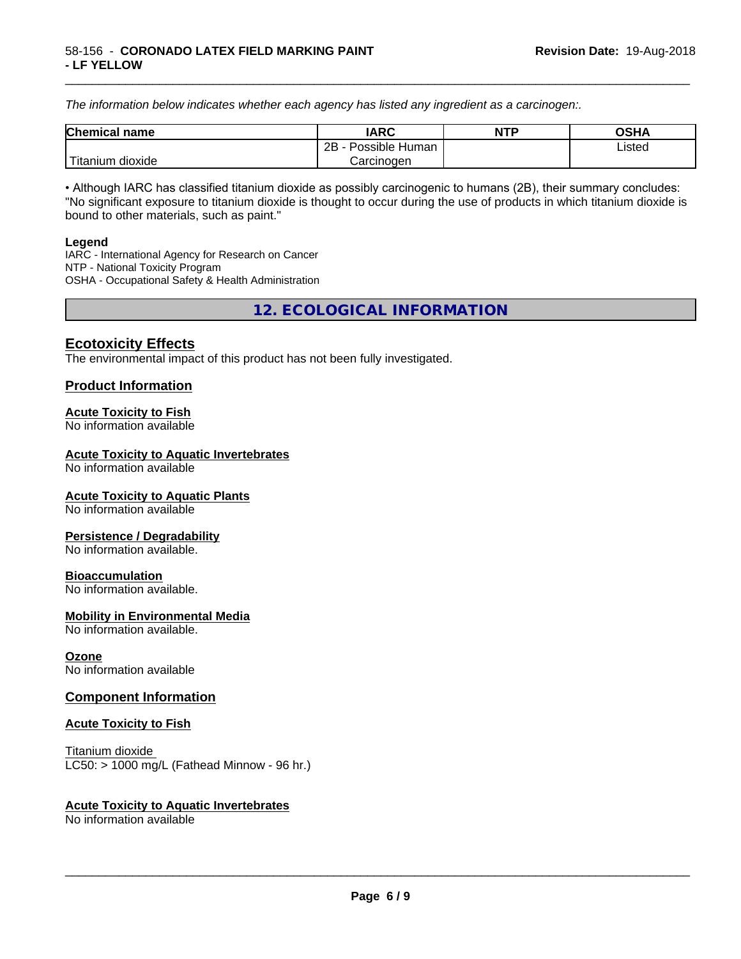*The information below indicateswhether each agency has listed any ingredient as a carcinogen:.*

| <b>Chemical</b><br>name  | <b>IARC</b>                    | <b>NTP</b> | <b>OSHA</b> |
|--------------------------|--------------------------------|------------|-------------|
|                          | . .<br>2B<br>Possible<br>Human |            | Listed<br>. |
| .<br>dioxide<br>⊺itanium | Carcinogen                     |            |             |

\_\_\_\_\_\_\_\_\_\_\_\_\_\_\_\_\_\_\_\_\_\_\_\_\_\_\_\_\_\_\_\_\_\_\_\_\_\_\_\_\_\_\_\_\_\_\_\_\_\_\_\_\_\_\_\_\_\_\_\_\_\_\_\_\_\_\_\_\_\_\_\_\_\_\_\_\_\_\_\_\_\_\_\_\_\_\_\_\_\_\_\_\_

• Although IARC has classified titanium dioxide as possibly carcinogenic to humans (2B), their summary concludes: "No significant exposure to titanium dioxide is thought to occur during the use of products in which titanium dioxide is bound to other materials, such as paint."

#### **Legend**

IARC - International Agency for Research on Cancer NTP - National Toxicity Program OSHA - Occupational Safety & Health Administration

**12. ECOLOGICAL INFORMATION**

# **Ecotoxicity Effects**

The environmental impact of this product has not been fully investigated.

### **Product Information**

#### **Acute Toxicity to Fish**

No information available

#### **Acute Toxicity to Aquatic Invertebrates**

No information available

#### **Acute Toxicity to Aquatic Plants**

No information available

#### **Persistence / Degradability**

No information available.

#### **Bioaccumulation**

No information available.

#### **Mobility in Environmental Media**

No information available.

#### **Ozone**

No information available

### **Component Information**

#### **Acute Toxicity to Fish**

Titanium dioxide  $LC50:$  > 1000 mg/L (Fathead Minnow - 96 hr.)

#### **Acute Toxicity to Aquatic Invertebrates**

No information available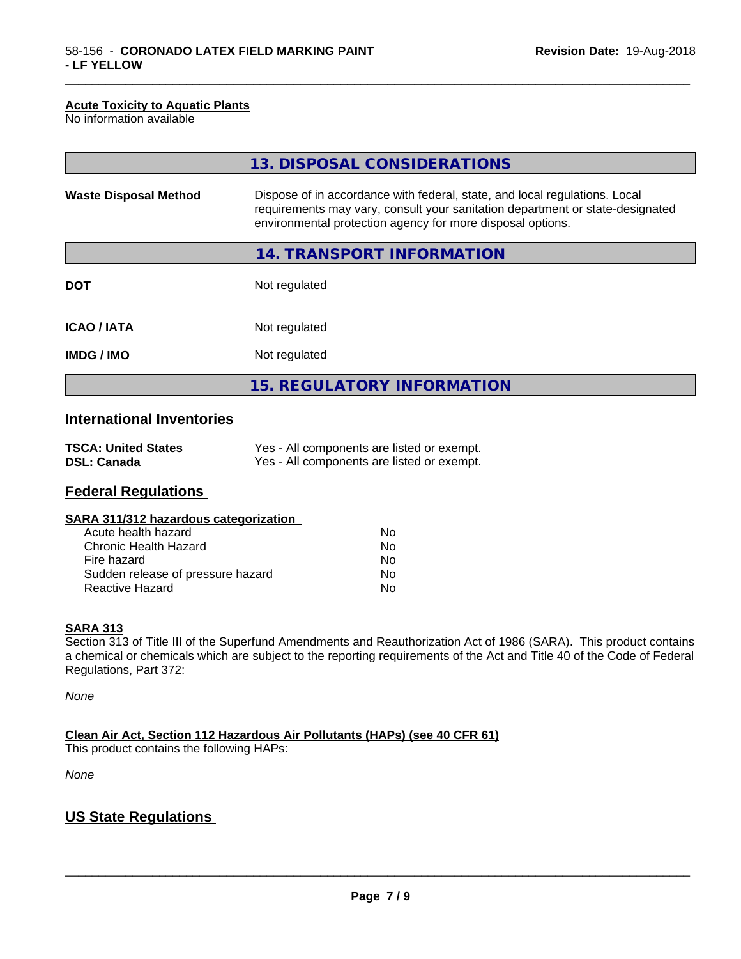#### **Acute Toxicity to Aquatic Plants**

No information available

|                              | 13. DISPOSAL CONSIDERATIONS                                                                                                                                                                                               |  |
|------------------------------|---------------------------------------------------------------------------------------------------------------------------------------------------------------------------------------------------------------------------|--|
| <b>Waste Disposal Method</b> | Dispose of in accordance with federal, state, and local regulations. Local<br>requirements may vary, consult your sanitation department or state-designated<br>environmental protection agency for more disposal options. |  |
|                              | 14. TRANSPORT INFORMATION                                                                                                                                                                                                 |  |
| <b>DOT</b>                   | Not regulated                                                                                                                                                                                                             |  |
| <b>ICAO/IATA</b>             | Not regulated                                                                                                                                                                                                             |  |
| <b>IMDG/IMO</b>              | Not regulated                                                                                                                                                                                                             |  |
|                              | 15. REGULATORY INFORMATION                                                                                                                                                                                                |  |

\_\_\_\_\_\_\_\_\_\_\_\_\_\_\_\_\_\_\_\_\_\_\_\_\_\_\_\_\_\_\_\_\_\_\_\_\_\_\_\_\_\_\_\_\_\_\_\_\_\_\_\_\_\_\_\_\_\_\_\_\_\_\_\_\_\_\_\_\_\_\_\_\_\_\_\_\_\_\_\_\_\_\_\_\_\_\_\_\_\_\_\_\_

# **International Inventories**

| <b>TSCA: United States</b> | Yes - All components are listed or exempt. |
|----------------------------|--------------------------------------------|
| <b>DSL: Canada</b>         | Yes - All components are listed or exempt. |

# **Federal Regulations**

| SARA 311/312 hazardous categorization |    |  |
|---------------------------------------|----|--|
| Acute health hazard                   | Nο |  |
| Chronic Health Hazard                 | Nο |  |
| Fire hazard                           | Nο |  |
| Sudden release of pressure hazard     | N٥ |  |

Reactive Hazard No

#### **SARA 313**

Section 313 of Title III of the Superfund Amendments and Reauthorization Act of 1986 (SARA). This product contains a chemical or chemicals which are subject to the reporting requirements of the Act and Title 40 of the Code of Federal Regulations, Part 372:

*None*

**Clean Air Act,Section 112 Hazardous Air Pollutants (HAPs) (see 40 CFR 61)**

This product contains the following HAPs:

*None*

# **US State Regulations**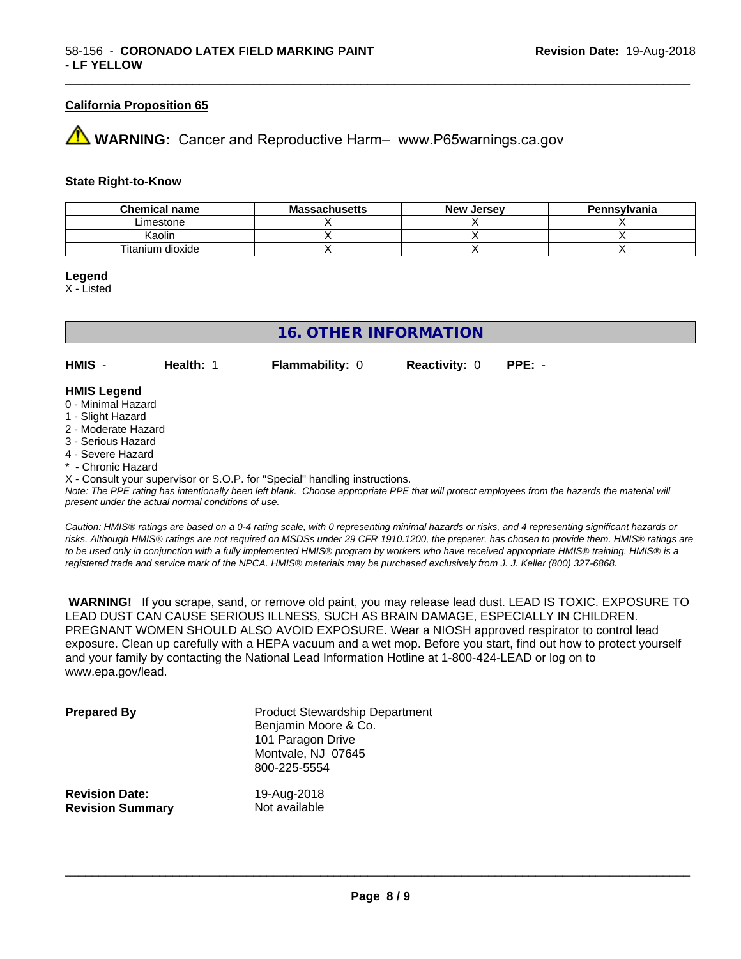#### **California Proposition 65**

# **43 WARNING:** Cancer and Reproductive Harm– www.P65warnings.ca.gov

#### **State Right-to-Know**

| <b>Chemical name</b> | <b>Massachusetts</b> | <b>New Jersey</b> | Pennsylvania |
|----------------------|----------------------|-------------------|--------------|
| Limestone            |                      |                   |              |
| Kaolin               |                      |                   |              |
| Titanium dioxide     |                      |                   |              |

#### **Legend**

X - Listed

# **16. OTHER INFORMATION**

**HMIS** - **Health:** 1 **Flammability:** 0 **Reactivity:** 0 **PPE:** -

#### **HMIS Legend**

- 0 Minimal Hazard
- 1 Slight Hazard
- 2 Moderate Hazard
- 3 Serious Hazard
- 4 Severe Hazard
- \* Chronic Hazard

X - Consult your supervisor or S.O.P. for "Special" handling instructions.

*Note: The PPE rating has intentionally been left blank. Choose appropriate PPE that will protect employees from the hazards the material will present under the actual normal conditions of use.*

*Caution: HMISÒ ratings are based on a 0-4 rating scale, with 0 representing minimal hazards or risks, and 4 representing significant hazards or risks. Although HMISÒ ratings are not required on MSDSs under 29 CFR 1910.1200, the preparer, has chosen to provide them. HMISÒ ratings are to be used only in conjunction with a fully implemented HMISÒ program by workers who have received appropriate HMISÒ training. HMISÒ is a registered trade and service mark of the NPCA. HMISÒ materials may be purchased exclusively from J. J. Keller (800) 327-6868.*

 **WARNING!** If you scrape, sand, or remove old paint, you may release lead dust. LEAD IS TOXIC. EXPOSURE TO LEAD DUST CAN CAUSE SERIOUS ILLNESS, SUCH AS BRAIN DAMAGE, ESPECIALLY IN CHILDREN. PREGNANT WOMEN SHOULD ALSO AVOID EXPOSURE.Wear a NIOSH approved respirator to control lead exposure. Clean up carefully with a HEPA vacuum and a wet mop. Before you start, find out how to protect yourself and your family by contacting the National Lead Information Hotline at 1-800-424-LEAD or log on to www.epa.gov/lead.

| <b>Prepared By</b>      | <b>Product Stewardship Department</b><br>Benjamin Moore & Co.<br>101 Paragon Drive<br>Montvale, NJ 07645<br>800-225-5554 |
|-------------------------|--------------------------------------------------------------------------------------------------------------------------|
| <b>Revision Date:</b>   | 19-Aug-2018                                                                                                              |
| <b>Revision Summary</b> | Not available                                                                                                            |